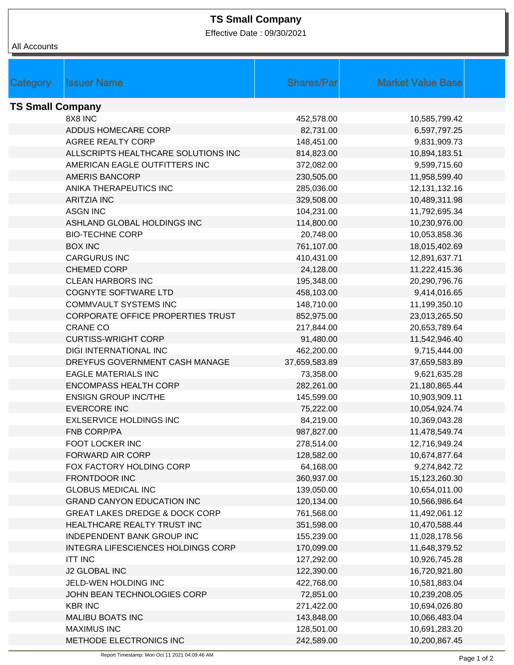## **TS Small Company**

Effective Date : 09/30/2021

| All Accounts            |                                           |                   |                          |
|-------------------------|-------------------------------------------|-------------------|--------------------------|
|                         |                                           |                   |                          |
|                         |                                           |                   |                          |
| Category                | <b>Issuer Name</b>                        | <b>Shares/Par</b> | <b>Market Value Base</b> |
| <b>TS Small Company</b> |                                           |                   |                          |
|                         | 8X8 INC                                   | 452,578.00        | 10,585,799.42            |
|                         | ADDUS HOMECARE CORP                       | 82,731.00         | 6,597,797.25             |
|                         | <b>AGREE REALTY CORP</b>                  | 148,451.00        | 9,831,909.73             |
|                         | ALLSCRIPTS HEALTHCARE SOLUTIONS INC       | 814,823.00        | 10,894,183.51            |
|                         | AMERICAN EAGLE OUTFITTERS INC             | 372,082.00        | 9,599,715.60             |
|                         | <b>AMERIS BANCORP</b>                     | 230,505.00        | 11,958,599.40            |
|                         | ANIKA THERAPEUTICS INC                    | 285,036.00        | 12,131,132.16            |
|                         | <b>ARITZIA INC</b>                        | 329,508.00        | 10,489,311.98            |
|                         | <b>ASGN INC</b>                           | 104,231.00        | 11,792,695.34            |
|                         | ASHLAND GLOBAL HOLDINGS INC               | 114,800.00        | 10,230,976.00            |
|                         | <b>BIO-TECHNE CORP</b>                    |                   |                          |
|                         |                                           | 20,748.00         | 10,053,858.36            |
|                         | <b>BOX INC</b>                            | 761,107.00        | 18,015,402.69            |
|                         | <b>CARGURUS INC</b>                       | 410,431.00        | 12,891,637.71            |
|                         | <b>CHEMED CORP</b>                        | 24,128.00         | 11,222,415.36            |
|                         | <b>CLEAN HARBORS INC</b>                  | 195,348.00        | 20,290,796.76            |
|                         | <b>COGNYTE SOFTWARE LTD</b>               | 458,103.00        | 9,414,016.65             |
|                         | <b>COMMVAULT SYSTEMS INC</b>              | 148,710.00        | 11,199,350.10            |
|                         | CORPORATE OFFICE PROPERTIES TRUST         | 852,975.00        | 23,013,265.50            |
|                         | <b>CRANE CO</b>                           | 217,844.00        | 20,653,789.64            |
|                         | <b>CURTISS-WRIGHT CORP</b>                | 91,480.00         | 11,542,946.40            |
|                         | <b>DIGI INTERNATIONAL INC</b>             | 462,200.00        | 9,715,444.00             |
|                         | DREYFUS GOVERNMENT CASH MANAGE            | 37,659,583.89     | 37,659,583.89            |
|                         | <b>EAGLE MATERIALS INC</b>                | 73,358.00         | 9,621,635.28             |
|                         | <b>ENCOMPASS HEALTH CORP</b>              | 282,261.00        | 21,180,865.44            |
|                         | <b>ENSIGN GROUP INC/THE</b>               | 145,599.00        | 10,903,909.11            |
|                         | <b>EVERCORE INC</b>                       | 75,222.00         | 10,054,924.74            |
|                         | EXLSERVICE HOLDINGS INC                   | 84,219.00         | 10,369,043.28            |
|                         | FNB CORP/PA                               | 987,827.00        | 11,478,549.74            |
|                         | FOOT LOCKER INC                           | 278,514.00        | 12,716,949.24            |
|                         | FORWARD AIR CORP                          | 128,582.00        | 10,674,877.64            |
|                         | FOX FACTORY HOLDING CORP                  | 64,168.00         | 9,274,842.72             |
|                         | FRONTDOOR INC                             | 360,937.00        | 15,123,260.30            |
|                         | <b>GLOBUS MEDICAL INC</b>                 | 139,050.00        | 10,654,011.00            |
|                         | <b>GRAND CANYON EDUCATION INC</b>         | 120,134.00        | 10,566,986.64            |
|                         | <b>GREAT LAKES DREDGE &amp; DOCK CORP</b> | 761,568.00        | 11,492,061.12            |
|                         | HEALTHCARE REALTY TRUST INC               | 351,598.00        | 10,470,588.44            |
|                         | INDEPENDENT BANK GROUP INC                | 155,239.00        | 11,028,178.56            |
|                         | INTEGRA LIFESCIENCES HOLDINGS CORP        | 170,099.00        | 11,648,379.52            |
|                         | <b>ITT INC</b>                            | 127,292.00        | 10,926,745.28            |
|                         | <b>J2 GLOBAL INC</b>                      | 122,390.00        | 16,720,921.80            |
|                         | JELD-WEN HOLDING INC                      | 422,768.00        | 10,581,883.04            |
|                         |                                           |                   |                          |
|                         | JOHN BEAN TECHNOLOGIES CORP               | 72,851.00         | 10,239,208.05            |
|                         | <b>KBR INC</b>                            | 271,422.00        | 10,694,026.80            |
|                         | <b>MALIBU BOATS INC</b>                   | 143,848.00        | 10,066,483.04            |
|                         | <b>MAXIMUS INC</b>                        | 128,501.00        | 10,691,283.20            |
|                         | METHODE ELECTRONICS INC                   | 242,589.00        | 10,200,867.45            |